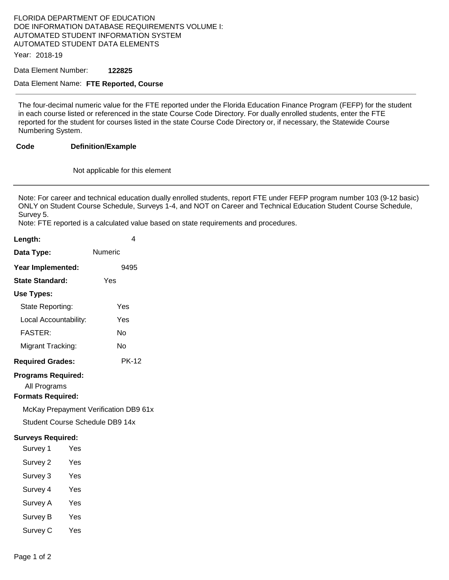#### FLORIDA DEPARTMENT OF EDUCATION DOE INFORMATION DATABASE REQUIREMENTS VOLUME I: AUTOMATED STUDENT INFORMATION SYSTEM AUTOMATED STUDENT DATA ELEMENTS

Year: 2018-19

Data Element Number: **122825** 

#### Data Element Name: **FTE Reported, Course**

The four-decimal numeric value for the FTE reported under the Florida Education Finance Program (FEFP) for the student in each course listed or referenced in the state Course Code Directory. For dually enrolled students, enter the FTE reported for the student for courses listed in the state Course Code Directory or, if necessary, the Statewide Course Numbering System.

#### **Code Definition/Example**

Not applicable for this element

Note: For career and technical education dually enrolled students, report FTE under FEFP program number 103 (9-12 basic) ONLY on Student Course Schedule, Surveys 1-4, and NOT on Career and Technical Education Student Course Schedule, Survey 5.

Note: FTE reported is a calculated value based on state requirements and procedures.

| Length:                                                               |     | 4            |
|-----------------------------------------------------------------------|-----|--------------|
| Data Type:                                                            |     | Numeric      |
| Year Implemented:                                                     |     | 9495         |
| <b>State Standard:</b>                                                |     | Yes          |
| Use Types:                                                            |     |              |
| State Reporting:                                                      |     | Yes          |
| Local Accountability:                                                 |     | Yes          |
| <b>FASTER:</b>                                                        |     | N٥           |
| Migrant Tracking:                                                     |     | No           |
| <b>Required Grades:</b>                                               |     | <b>PK-12</b> |
| <b>Programs Required:</b><br>All Programs<br><b>Formats Required:</b> |     |              |
| McKay Prepayment Verification DB9 61x                                 |     |              |
| Student Course Schedule DB9 14x                                       |     |              |
| <b>Surveys Required:</b>                                              |     |              |
| Survey 1                                                              | Yes |              |
| Survey 2                                                              | Yes |              |
| Survey 3                                                              | Yes |              |
| Survey 4                                                              | Yes |              |
| Survey A                                                              | Yes |              |
| Survey B                                                              | Yes |              |

Survey C Yes